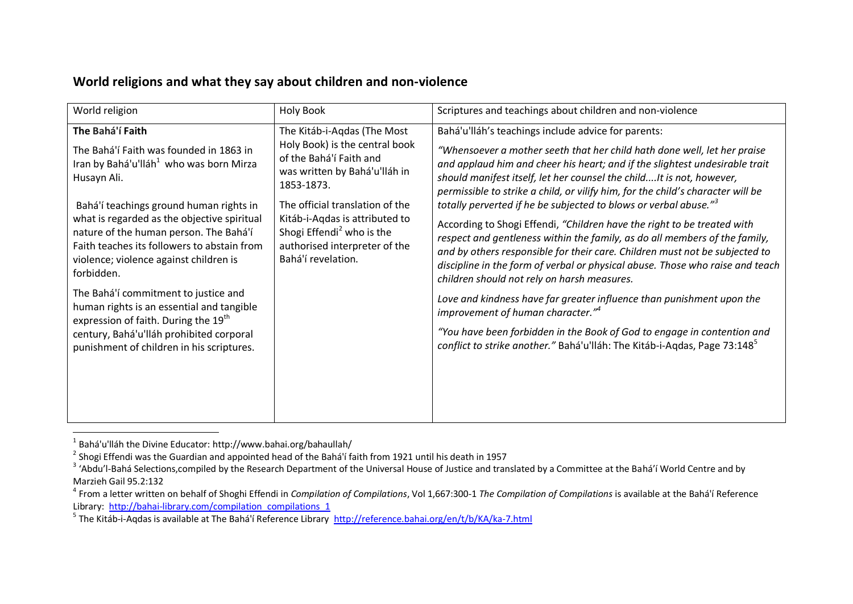## World religion **Holy Book** Holy Book Scriptures and teachings about children and non-violence **The Bahá'í Faith** The Bahá'í Faith was founded in 1863 in Iran by [Bahá'u'lláh](https://en.wikipedia.org/wiki/Bah%C3%A1%27u%27ll%C3%A1h) $^1$  who was born Mirza Husayn Ali. Bahá'í teachings ground human rights in what is regarded as the objective spiritual nature of the human person. The Bahá'í Faith teaches its followers to abstain from violence; violence against children is forbidden. The Bahá'í commitment to justice and human rights is an essential and tangible expression of faith. During the 19<sup>th</sup> century, [Bahá'u'lláh](https://en.wikipedia.org/wiki/Bah%C3%A1%27u%27ll%C3%A1h) prohibited corporal punishment of children in his scriptures. The Kitáb-i-Aqdas (The Most Holy Book) is the central book of the [Bahá'í Faith](https://en.wikipedia.org/wiki/Bah%C3%A1%27%C3%AD_Faith) and was written by [Bahá'u'lláh](https://en.wikipedia.org/wiki/Bah%C3%A1%27u%27ll%C3%A1h) in 1853-1873. The official translation of the Kitáb-i-Aqdas is attributed to Shogi Effendi<sup>2</sup> who is the authorised interpreter of the [Bahá'í r](https://en.wikipedia.org/wiki/Bah%C3%A1%27%C3%AD_Faith)evelation. [Bahá'u'lláh](https://en.wikipedia.org/wiki/Bah%C3%A1%27u%27ll%C3%A1h)'s teachings include advice for parents: *"Whensoever a mother seeth that her child hath done well, let her praise and applaud him and cheer his heart; and if the slightest undesirable trait should manifest itself, let her counsel the child....It is not, however, permissible to strike a child, or vilify him, for the child's character will be totally perverted if he be subjected to blows or verbal abuse."<sup>3</sup>* According to Shogi Effendi, *"Children have the right to be treated with respect and gentleness within the family, as do all members of the family, and by others responsible for their care. Children must not be subjected to discipline in the form of verbal or physical abuse. Those who raise and teach children should not rely on harsh measures. Love and kindness have far greater influence than punishment upon the improvement of human character."<sup>4</sup> "You have been forbidden in the Book of God to engage in contention and conflict to strike another.*" [Bahá'u'lláh:](https://en.wikipedia.org/wiki/Bah%C3%A1%27u%27ll%C3%A1h) The Kitáb-i-Aqdas, Page 73:148<sup>5</sup>

## **World religions and what they say about children and non-violence**

<sup>1</sup> [Bahá'u'lláh](https://en.wikipedia.org/wiki/Bah%C3%A1%27u%27ll%C3%A1h) the Divine Educator: http://www.bahai.org/bahaullah/

<sup>&</sup>lt;sup>2</sup> Shogi Effendi was the Guardian and appointed head of the Bahá'í faith from 1921 until his death in 1957

<sup>&</sup>lt;sup>3</sup> 'Abdu'l-Bahá Selections,compiled by the Research Department of the Universal House of Justice and translated by a Committee at the Bahá'í World Centre and by Marzieh Gail 95.2:132

<sup>4</sup> From a letter written on behalf of Shoghi Effendi in *Compilation of Compilations*, Vol 1,667:300-1 *The Compilation of Compilations* is available at the Bahá'í Reference Library: [http://bahai-library.com/compilation\\_compilations\\_1](http://bahai-library.com/compilation_compilations_1)

<sup>&</sup>lt;sup>5</sup> The Kitáb-i-Aqdas is available at The Bahá'í Reference Library<http://reference.bahai.org/en/t/b/KA/ka-7.html>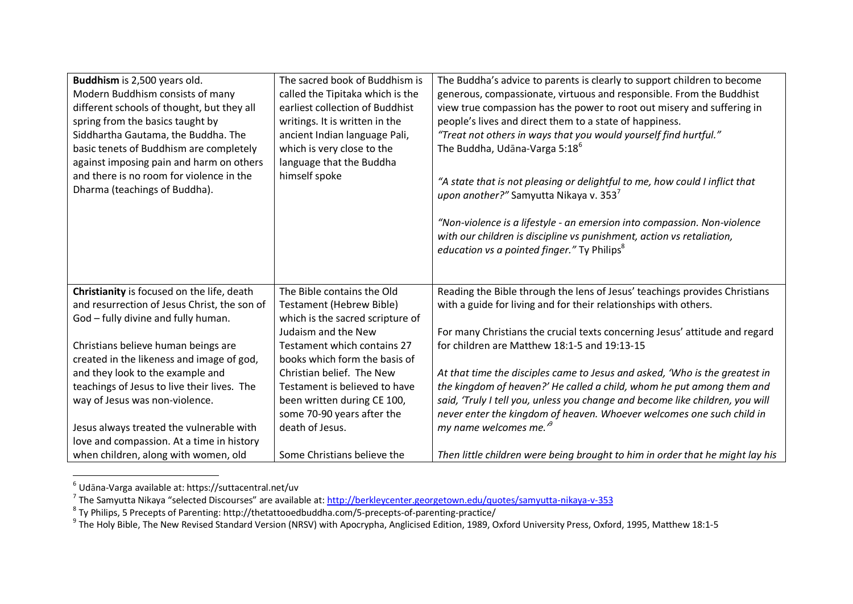| Buddhism is 2,500 years old.<br>Modern Buddhism consists of many<br>different schools of thought, but they all<br>spring from the basics taught by<br>Siddhartha Gautama, the Buddha. The<br>basic tenets of Buddhism are completely<br>against imposing pain and harm on others<br>and there is no room for violence in the<br>Dharma (teachings of Buddha). | The sacred book of Buddhism is<br>called the Tipitaka which is the<br>earliest collection of Buddhist<br>writings. It is written in the<br>ancient Indian language Pali,<br>which is very close to the<br>language that the Buddha<br>himself spoke | The Buddha's advice to parents is clearly to support children to become<br>generous, compassionate, virtuous and responsible. From the Buddhist<br>view true compassion has the power to root out misery and suffering in<br>people's lives and direct them to a state of happiness.<br>"Treat not others in ways that you would yourself find hurtful."<br>The Buddha, Udana-Varga 5:18 <sup>6</sup><br>"A state that is not pleasing or delightful to me, how could I inflict that<br>upon another?" Samyutta Nikaya v. 353 <sup>7</sup> |
|---------------------------------------------------------------------------------------------------------------------------------------------------------------------------------------------------------------------------------------------------------------------------------------------------------------------------------------------------------------|-----------------------------------------------------------------------------------------------------------------------------------------------------------------------------------------------------------------------------------------------------|--------------------------------------------------------------------------------------------------------------------------------------------------------------------------------------------------------------------------------------------------------------------------------------------------------------------------------------------------------------------------------------------------------------------------------------------------------------------------------------------------------------------------------------------|
|                                                                                                                                                                                                                                                                                                                                                               |                                                                                                                                                                                                                                                     | "Non-violence is a lifestyle - an emersion into compassion. Non-violence<br>with our children is discipline vs punishment, action vs retaliation,<br>education vs a pointed finger." Ty Philips <sup>8</sup>                                                                                                                                                                                                                                                                                                                               |
| Christianity is focused on the life, death                                                                                                                                                                                                                                                                                                                    | The Bible contains the Old                                                                                                                                                                                                                          | Reading the Bible through the lens of Jesus' teachings provides Christians                                                                                                                                                                                                                                                                                                                                                                                                                                                                 |
| and resurrection of Jesus Christ, the son of                                                                                                                                                                                                                                                                                                                  | <b>Testament (Hebrew Bible)</b>                                                                                                                                                                                                                     | with a guide for living and for their relationships with others.                                                                                                                                                                                                                                                                                                                                                                                                                                                                           |
| God - fully divine and fully human.                                                                                                                                                                                                                                                                                                                           | which is the sacred scripture of                                                                                                                                                                                                                    |                                                                                                                                                                                                                                                                                                                                                                                                                                                                                                                                            |
|                                                                                                                                                                                                                                                                                                                                                               | Judaism and the New                                                                                                                                                                                                                                 | For many Christians the crucial texts concerning Jesus' attitude and regard                                                                                                                                                                                                                                                                                                                                                                                                                                                                |
| Christians believe human beings are                                                                                                                                                                                                                                                                                                                           | Testament which contains 27<br>books which form the basis of                                                                                                                                                                                        | for children are Matthew 18:1-5 and 19:13-15                                                                                                                                                                                                                                                                                                                                                                                                                                                                                               |
| created in the likeness and image of god,<br>and they look to the example and                                                                                                                                                                                                                                                                                 | Christian belief. The New                                                                                                                                                                                                                           | At that time the disciples came to Jesus and asked, 'Who is the greatest in                                                                                                                                                                                                                                                                                                                                                                                                                                                                |
| teachings of Jesus to live their lives. The                                                                                                                                                                                                                                                                                                                   | Testament is believed to have                                                                                                                                                                                                                       | the kingdom of heaven?' He called a child, whom he put among them and                                                                                                                                                                                                                                                                                                                                                                                                                                                                      |
| way of Jesus was non-violence.                                                                                                                                                                                                                                                                                                                                | been written during CE 100,                                                                                                                                                                                                                         | said, 'Truly I tell you, unless you change and become like children, you will                                                                                                                                                                                                                                                                                                                                                                                                                                                              |
|                                                                                                                                                                                                                                                                                                                                                               | some 70-90 years after the                                                                                                                                                                                                                          | never enter the kingdom of heaven. Whoever welcomes one such child in                                                                                                                                                                                                                                                                                                                                                                                                                                                                      |
| Jesus always treated the vulnerable with                                                                                                                                                                                                                                                                                                                      | death of Jesus.                                                                                                                                                                                                                                     | my name welcomes me. <sup>19</sup>                                                                                                                                                                                                                                                                                                                                                                                                                                                                                                         |
| love and compassion. At a time in history                                                                                                                                                                                                                                                                                                                     |                                                                                                                                                                                                                                                     |                                                                                                                                                                                                                                                                                                                                                                                                                                                                                                                                            |
| when children, along with women, old                                                                                                                                                                                                                                                                                                                          | Some Christians believe the                                                                                                                                                                                                                         | Then little children were being brought to him in order that he might lay his                                                                                                                                                                                                                                                                                                                                                                                                                                                              |

<sup>&</sup>lt;sup>6</sup> Udāna-Varga available at: https://suttacentral.net/uv<br><sup>7</sup> The Samyutta Nikaya "selected Discourses" are available at: <u><http://berkleycenter.georgetown.edu/quotes/samyutta-nikaya-v-353></u><br><sup>8</sup> Ty Philips, 5 Precepts of Par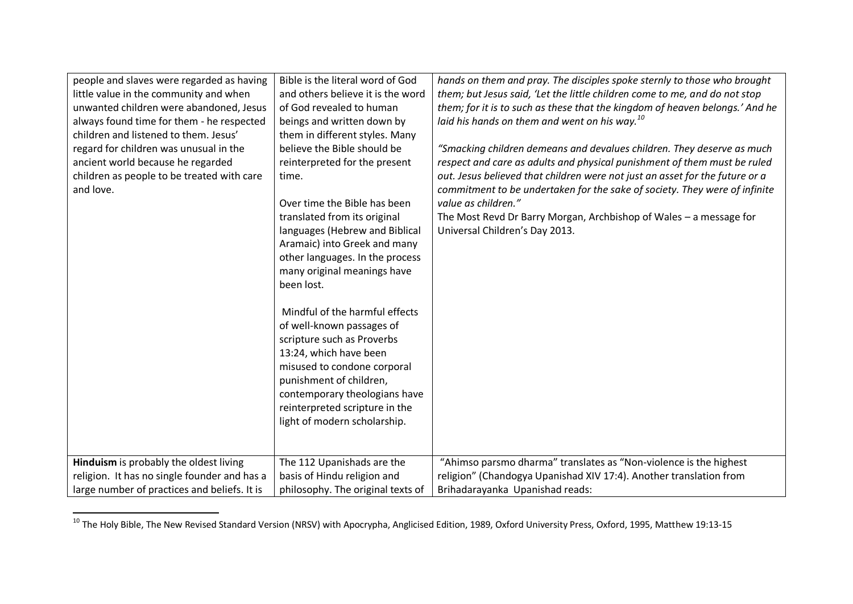| people and slaves were regarded as having<br>little value in the community and when | Bible is the literal word of God<br>and others believe it is the word | hands on them and pray. The disciples spoke sternly to those who brought<br>them; but Jesus said, 'Let the little children come to me, and do not stop |
|-------------------------------------------------------------------------------------|-----------------------------------------------------------------------|--------------------------------------------------------------------------------------------------------------------------------------------------------|
| unwanted children were abandoned, Jesus                                             | of God revealed to human                                              | them; for it is to such as these that the kingdom of heaven belongs.' And he                                                                           |
| always found time for them - he respected                                           | beings and written down by                                            | laid his hands on them and went on his way. <sup>10</sup>                                                                                              |
| children and listened to them. Jesus'                                               | them in different styles. Many                                        |                                                                                                                                                        |
| regard for children was unusual in the                                              | believe the Bible should be                                           | "Smacking children demeans and devalues children. They deserve as much                                                                                 |
| ancient world because he regarded                                                   | reinterpreted for the present                                         | respect and care as adults and physical punishment of them must be ruled                                                                               |
| children as people to be treated with care                                          | time.                                                                 | out. Jesus believed that children were not just an asset for the future or a                                                                           |
| and love.                                                                           |                                                                       | commitment to be undertaken for the sake of society. They were of infinite                                                                             |
|                                                                                     | Over time the Bible has been                                          | value as children."                                                                                                                                    |
|                                                                                     | translated from its original                                          | The Most Revd Dr Barry Morgan, Archbishop of Wales - a message for                                                                                     |
|                                                                                     | languages (Hebrew and Biblical<br>Aramaic) into Greek and many        | Universal Children's Day 2013.                                                                                                                         |
|                                                                                     | other languages. In the process                                       |                                                                                                                                                        |
|                                                                                     | many original meanings have                                           |                                                                                                                                                        |
|                                                                                     | been lost.                                                            |                                                                                                                                                        |
|                                                                                     |                                                                       |                                                                                                                                                        |
|                                                                                     | Mindful of the harmful effects                                        |                                                                                                                                                        |
|                                                                                     | of well-known passages of                                             |                                                                                                                                                        |
|                                                                                     | scripture such as Proverbs                                            |                                                                                                                                                        |
|                                                                                     | 13:24, which have been                                                |                                                                                                                                                        |
|                                                                                     | misused to condone corporal                                           |                                                                                                                                                        |
|                                                                                     | punishment of children,                                               |                                                                                                                                                        |
|                                                                                     | contemporary theologians have                                         |                                                                                                                                                        |
|                                                                                     | reinterpreted scripture in the                                        |                                                                                                                                                        |
|                                                                                     | light of modern scholarship.                                          |                                                                                                                                                        |
|                                                                                     |                                                                       |                                                                                                                                                        |
|                                                                                     |                                                                       |                                                                                                                                                        |
| Hinduism is probably the oldest living                                              | The 112 Upanishads are the                                            | "Ahimso parsmo dharma" translates as "Non-violence is the highest                                                                                      |
| religion. It has no single founder and has a                                        | basis of Hindu religion and                                           | religion" (Chandogya Upanishad XIV 17:4). Another translation from                                                                                     |
| large number of practices and beliefs. It is                                        | philosophy. The original texts of                                     | Brihadarayanka Upanishad reads:                                                                                                                        |

 $^{10}$  The Holy Bible, The New Revised Standard Version (NRSV) with Apocrypha, Anglicised Edition, 1989, Oxford University Press, Oxford, 1995, Matthew 19:13-15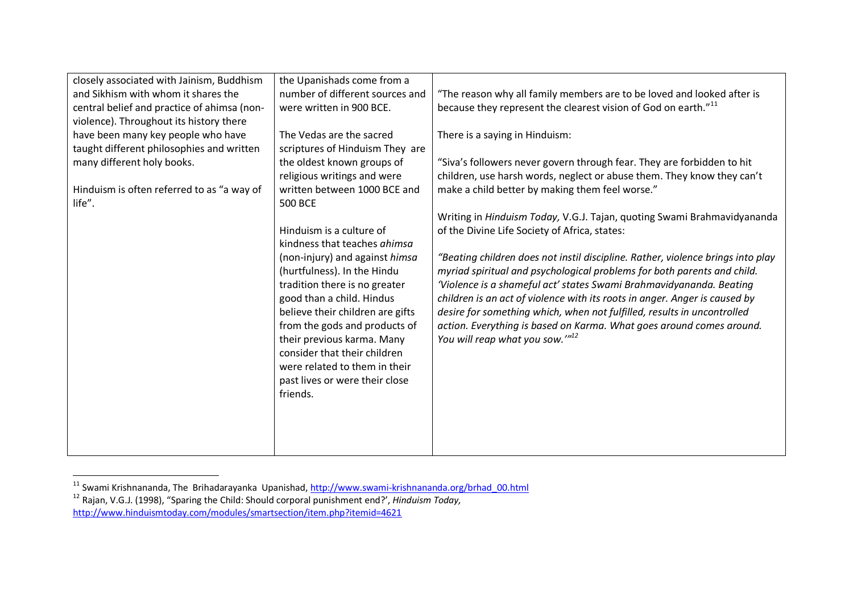| closely associated with Jainism, Buddhism   | the Upanishads come from a       |                                                                                 |
|---------------------------------------------|----------------------------------|---------------------------------------------------------------------------------|
| and Sikhism with whom it shares the         | number of different sources and  | "The reason why all family members are to be loved and looked after is          |
| central belief and practice of ahimsa (non- | were written in 900 BCE.         | because they represent the clearest vision of God on earth." <sup>11</sup>      |
| violence). Throughout its history there     |                                  |                                                                                 |
| have been many key people who have          | The Vedas are the sacred         | There is a saying in Hinduism:                                                  |
| taught different philosophies and written   | scriptures of Hinduism They are  |                                                                                 |
| many different holy books.                  | the oldest known groups of       | "Siva's followers never govern through fear. They are forbidden to hit          |
|                                             | religious writings and were      | children, use harsh words, neglect or abuse them. They know they can't          |
| Hinduism is often referred to as "a way of  | written between 1000 BCE and     | make a child better by making them feel worse."                                 |
| life".                                      | <b>500 BCE</b>                   |                                                                                 |
|                                             |                                  | Writing in Hinduism Today, V.G.J. Tajan, quoting Swami Brahmavidyananda         |
|                                             | Hinduism is a culture of         | of the Divine Life Society of Africa, states:                                   |
|                                             | kindness that teaches ahimsa     |                                                                                 |
|                                             | (non-injury) and against himsa   | "Beating children does not instil discipline. Rather, violence brings into play |
|                                             | (hurtfulness). In the Hindu      | myriad spiritual and psychological problems for both parents and child.         |
|                                             | tradition there is no greater    | 'Violence is a shameful act' states Swami Brahmavidyananda. Beating             |
|                                             | good than a child. Hindus        | children is an act of violence with its roots in anger. Anger is caused by      |
|                                             |                                  |                                                                                 |
|                                             | believe their children are gifts | desire for something which, when not fulfilled, results in uncontrolled         |
|                                             | from the gods and products of    | action. Everything is based on Karma. What goes around comes around.            |
|                                             | their previous karma. Many       | You will reap what you sow." <sup>12</sup>                                      |
|                                             | consider that their children     |                                                                                 |
|                                             | were related to them in their    |                                                                                 |
|                                             | past lives or were their close   |                                                                                 |
|                                             | friends.                         |                                                                                 |
|                                             |                                  |                                                                                 |
|                                             |                                  |                                                                                 |
|                                             |                                  |                                                                                 |
|                                             |                                  |                                                                                 |

<sup>&</sup>lt;sup>11</sup> Swami Krishnananda, The Brihadarayanka Upanishad[, http://www.swami-krishnananda.org/brhad\\_00.html](http://www.swami-krishnananda.org/brhad_00.html)

<sup>12</sup> Rajan, V.G.J. (1998), "Sparing the Child: Should corporal punishment end?', *Hinduism Today,*

<http://www.hinduismtoday.com/modules/smartsection/item.php?itemid=4621>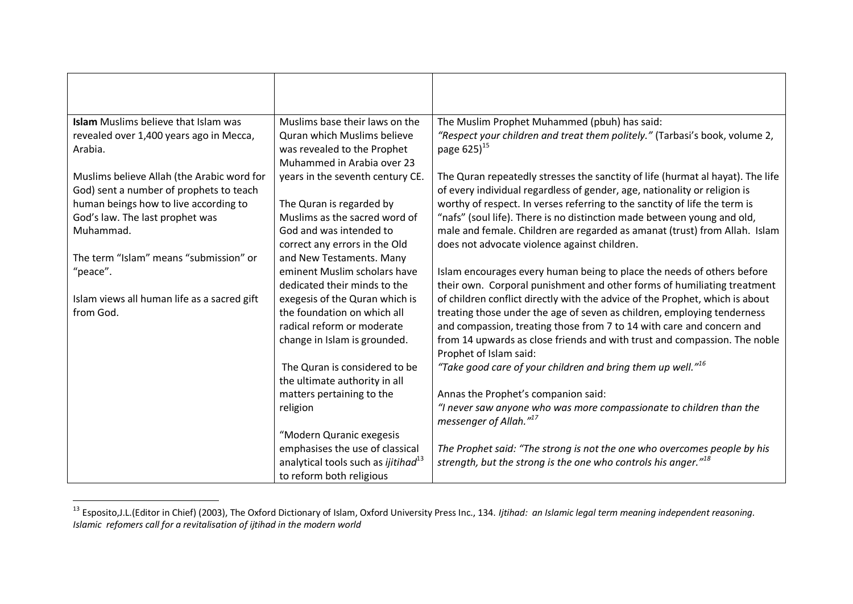| <b>Islam</b> Muslims believe that Islam was                                           | Muslims base their laws on the                         | The Muslim Prophet Muhammed (pbuh) has said:                                                                                                                |
|---------------------------------------------------------------------------------------|--------------------------------------------------------|-------------------------------------------------------------------------------------------------------------------------------------------------------------|
| revealed over 1,400 years ago in Mecca,                                               | Quran which Muslims believe                            | "Respect your children and treat them politely." (Tarbasi's book, volume 2,                                                                                 |
| Arabia.                                                                               | was revealed to the Prophet                            | page 625) <sup>15</sup>                                                                                                                                     |
|                                                                                       | Muhammed in Arabia over 23                             |                                                                                                                                                             |
| Muslims believe Allah (the Arabic word for<br>God) sent a number of prophets to teach | years in the seventh century CE.                       | The Quran repeatedly stresses the sanctity of life (hurmat al hayat). The life<br>of every individual regardless of gender, age, nationality or religion is |
| human beings how to live according to                                                 | The Quran is regarded by                               | worthy of respect. In verses referring to the sanctity of life the term is                                                                                  |
| God's law. The last prophet was                                                       | Muslims as the sacred word of                          | "nafs" (soul life). There is no distinction made between young and old,                                                                                     |
| Muhammad.                                                                             | God and was intended to                                | male and female. Children are regarded as amanat (trust) from Allah. Islam                                                                                  |
|                                                                                       | correct any errors in the Old                          | does not advocate violence against children.                                                                                                                |
| The term "Islam" means "submission" or                                                | and New Testaments. Many                               |                                                                                                                                                             |
| "peace".                                                                              | eminent Muslim scholars have                           | Islam encourages every human being to place the needs of others before                                                                                      |
|                                                                                       | dedicated their minds to the                           | their own. Corporal punishment and other forms of humiliating treatment                                                                                     |
| Islam views all human life as a sacred gift                                           | exegesis of the Quran which is                         | of children conflict directly with the advice of the Prophet, which is about                                                                                |
| from God.                                                                             | the foundation on which all                            | treating those under the age of seven as children, employing tenderness                                                                                     |
|                                                                                       | radical reform or moderate                             | and compassion, treating those from 7 to 14 with care and concern and                                                                                       |
|                                                                                       | change in Islam is grounded.                           | from 14 upwards as close friends and with trust and compassion. The noble<br>Prophet of Islam said:                                                         |
|                                                                                       | The Quran is considered to be                          | "Take good care of your children and bring them up well." <sup>16</sup>                                                                                     |
|                                                                                       | the ultimate authority in all                          |                                                                                                                                                             |
|                                                                                       | matters pertaining to the                              | Annas the Prophet's companion said:                                                                                                                         |
|                                                                                       | religion                                               | "I never saw anyone who was more compassionate to children than the                                                                                         |
|                                                                                       |                                                        | messenger of Allah." <sup>17</sup>                                                                                                                          |
|                                                                                       | "Modern Quranic exegesis                               |                                                                                                                                                             |
|                                                                                       | emphasises the use of classical                        | The Prophet said: "The strong is not the one who overcomes people by his                                                                                    |
|                                                                                       | analytical tools such as <i>ijitihad</i> <sup>13</sup> | strength, but the strong is the one who controls his anger." <sup>18</sup>                                                                                  |
|                                                                                       | to reform both religious                               |                                                                                                                                                             |

 $\overline{a}$ <sup>13</sup> Esposito,J.L.(Editor in Chief) (2003), The Oxford Dictionary of Islam, Oxford University Press Inc., 134. *Ijtihad: an Islamic legal term meaning independent reasoning. Islamic refomers call for a revitalisation of ijtihad in the modern world*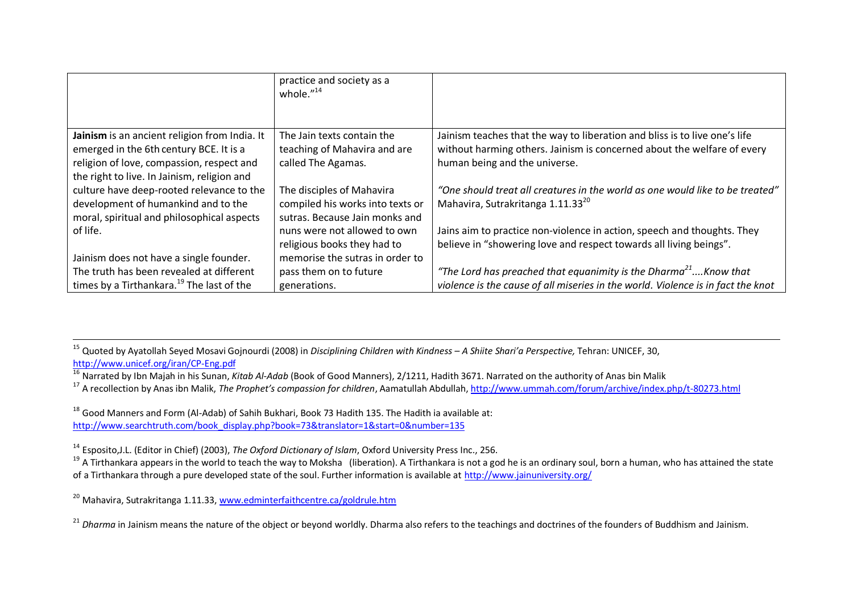|                                                       | practice and society as a<br>whole. $^{\prime\prime 14}$ |                                                                                  |
|-------------------------------------------------------|----------------------------------------------------------|----------------------------------------------------------------------------------|
|                                                       |                                                          |                                                                                  |
| Jainism is an ancient religion from India. It         | The Jain texts contain the                               | Jainism teaches that the way to liberation and bliss is to live one's life       |
| emerged in the 6th century BCE. It is a               | teaching of Mahavira and are                             | without harming others. Jainism is concerned about the welfare of every          |
| religion of love, compassion, respect and             | called The Agamas.                                       | human being and the universe.                                                    |
| the right to live. In Jainism, religion and           |                                                          |                                                                                  |
| culture have deep-rooted relevance to the             | The disciples of Mahavira                                | "One should treat all creatures in the world as one would like to be treated"    |
| development of humankind and to the                   | compiled his works into texts or                         | Mahavira, Sutrakritanga 1.11.33 <sup>20</sup>                                    |
| moral, spiritual and philosophical aspects            | sutras. Because Jain monks and                           |                                                                                  |
| of life.                                              | nuns were not allowed to own                             | Jains aim to practice non-violence in action, speech and thoughts. They          |
|                                                       | religious books they had to                              | believe in "showering love and respect towards all living beings".               |
| Jainism does not have a single founder.               | memorise the sutras in order to                          |                                                                                  |
| The truth has been revealed at different              | pass them on to future                                   | "The Lord has preached that equanimity is the Dharma $21$ Know that              |
| times by a Tirthankara. <sup>19</sup> The last of the | generations.                                             | violence is the cause of all miseries in the world. Violence is in fact the knot |

 $\overline{a}$ <sup>15</sup> Quoted by Ayatollah Seyed Mosavi Gojnourdi (2008) in *Disciplining Children with Kindness – A Shiite Shari'a Perspective,* Tehran: UNICEF, 30, <http://www.unicef.org/iran/CP-Eng.pdf>

<sup>16</sup> Narrated by Ibn Majah in his Sunan*, Kitab Al-Adab* (Book of Good Manners), 2/1211, Hadith 3671. Narrated on the authority of Anas bin Malik

<sup>17</sup> A recollection by Anas ibn Malik, *The Prophet's compassion for children*, Aamatullah Abdullah[, http://www.ummah.com/forum/archive/index.php/t-80273.html](http://www.ummah.com/forum/archive/index.php/t-80273.html)

<sup>18</sup> Good Manners and Form (Al-Adab) of Sahih Bukhari, Book 73 Hadith 135. The Hadith ia available at: [http://www.searchtruth.com/book\\_display.php?book=73&translator=1&start=0&number=135](http://www.searchtruth.com/book_display.php?book=73&translator=1&start=0&number=135)

<sup>14</sup> Esposito,J.L. (Editor in Chief) (2003), *The Oxford Dictionary of Islam*, Oxford University Press Inc., 256.

<sup>19</sup> A Tirthankara appears in the world to teach the way to Moksha (liberation). A Tirthankara is not a god he is an ordinary soul, born a human, who has attained the state of a Tirthankara through a pure developed state of the soul. Further information is available at<http://www.jainuniversity.org/>

<sup>20</sup> Mahavira, Sutrakritanga 1.11.33[, www.edminterfaithcentre.ca/goldrule.htm](http://www.edminterfaithcentre.ca/goldrule.htm)

<sup>21</sup> *Dharma* in Jainism means the nature of the object or beyond worldly. Dharma also refers to the teachings and doctrines of the founders of Buddhism and Jainism.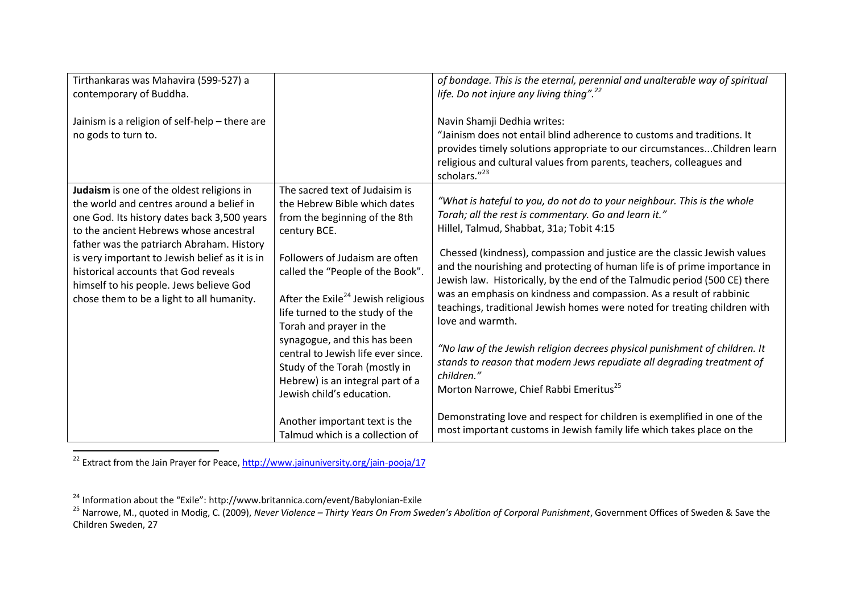| Tirthankaras was Mahavira (599-527) a<br>contemporary of Buddha.                                                                                                                                                                                                                                                                                                                                              |                                                                                                                                                                                                                                                                                                                                                                                                                                                                               | of bondage. This is the eternal, perennial and unalterable way of spiritual<br>life. Do not injure any living thing". <sup>22</sup>                                                                                                                                                                                                                                                                                                                                                                                                                                                                                                                                                                                                                                                                                                                                                                |
|---------------------------------------------------------------------------------------------------------------------------------------------------------------------------------------------------------------------------------------------------------------------------------------------------------------------------------------------------------------------------------------------------------------|-------------------------------------------------------------------------------------------------------------------------------------------------------------------------------------------------------------------------------------------------------------------------------------------------------------------------------------------------------------------------------------------------------------------------------------------------------------------------------|----------------------------------------------------------------------------------------------------------------------------------------------------------------------------------------------------------------------------------------------------------------------------------------------------------------------------------------------------------------------------------------------------------------------------------------------------------------------------------------------------------------------------------------------------------------------------------------------------------------------------------------------------------------------------------------------------------------------------------------------------------------------------------------------------------------------------------------------------------------------------------------------------|
| Jainism is a religion of self-help - there are<br>no gods to turn to.                                                                                                                                                                                                                                                                                                                                         |                                                                                                                                                                                                                                                                                                                                                                                                                                                                               | Navin Shamji Dedhia writes:<br>"Jainism does not entail blind adherence to customs and traditions. It<br>provides timely solutions appropriate to our circumstances Children learn<br>religious and cultural values from parents, teachers, colleagues and<br>scholars."23                                                                                                                                                                                                                                                                                                                                                                                                                                                                                                                                                                                                                         |
| Judaism is one of the oldest religions in<br>the world and centres around a belief in<br>one God. Its history dates back 3,500 years<br>to the ancient Hebrews whose ancestral<br>father was the patriarch Abraham. History<br>is very important to Jewish belief as it is in<br>historical accounts that God reveals<br>himself to his people. Jews believe God<br>chose them to be a light to all humanity. | The sacred text of Judaisim is<br>the Hebrew Bible which dates<br>from the beginning of the 8th<br>century BCE.<br>Followers of Judaism are often<br>called the "People of the Book".<br>After the Exile <sup>24</sup> Jewish religious<br>life turned to the study of the<br>Torah and prayer in the<br>synagogue, and this has been<br>central to Jewish life ever since.<br>Study of the Torah (mostly in<br>Hebrew) is an integral part of a<br>Jewish child's education. | "What is hateful to you, do not do to your neighbour. This is the whole<br>Torah; all the rest is commentary. Go and learn it."<br>Hillel, Talmud, Shabbat, 31a; Tobit 4:15<br>Chessed (kindness), compassion and justice are the classic Jewish values<br>and the nourishing and protecting of human life is of prime importance in<br>Jewish law. Historically, by the end of the Talmudic period (500 CE) there<br>was an emphasis on kindness and compassion. As a result of rabbinic<br>teachings, traditional Jewish homes were noted for treating children with<br>love and warmth.<br>"No law of the Jewish religion decrees physical punishment of children. It<br>stands to reason that modern Jews repudiate all degrading treatment of<br>children."<br>Morton Narrowe, Chief Rabbi Emeritus <sup>25</sup><br>Demonstrating love and respect for children is exemplified in one of the |
|                                                                                                                                                                                                                                                                                                                                                                                                               | Another important text is the<br>Talmud which is a collection of                                                                                                                                                                                                                                                                                                                                                                                                              | most important customs in Jewish family life which takes place on the                                                                                                                                                                                                                                                                                                                                                                                                                                                                                                                                                                                                                                                                                                                                                                                                                              |

 $\overline{a}$ <sup>22</sup> Extract from the Jain Prayer for Peace,<http://www.jainuniversity.org/jain-pooja/17>

 $^{24}$  Information about the "Exile": http://www.britannica.com/event/Babylonian-Exile

<sup>25</sup> Narrowe, M., quoted in Modig, C. (2009), *Never Violence – Thirty Years On From Sweden's Abolition of Corporal Punishment*, Government Offices of Sweden & Save the Children Sweden, 27